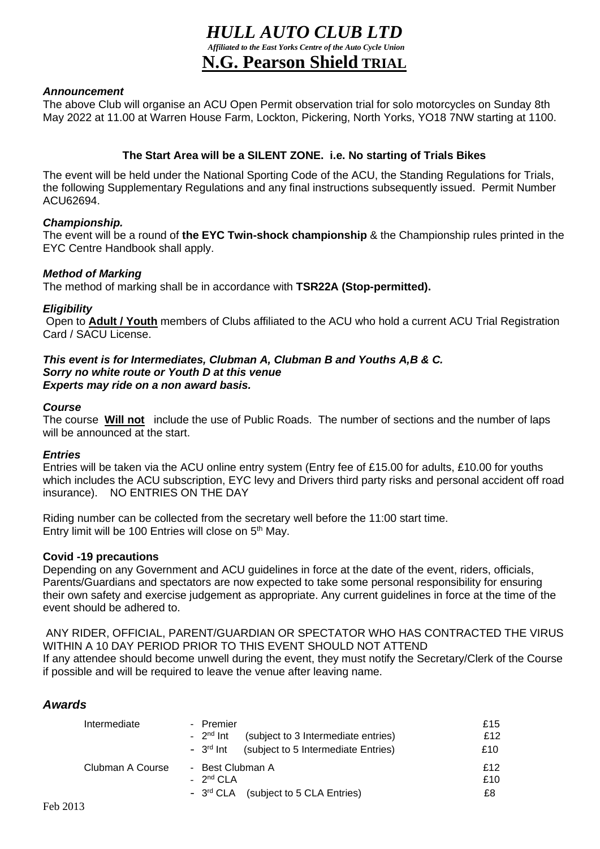# *HULL AUTO CLUB LTD Affiliated to the East Yorks Centre of the Auto Cycle Union* **N.G. Pearson Shield TRIAL**

### *Announcement*

The above Club will organise an ACU Open Permit observation trial for solo motorcycles on Sunday 8th May 2022 at 11.00 at Warren House Farm, Lockton, Pickering, North Yorks, YO18 7NW starting at 1100.

# **The Start Area will be a SILENT ZONE. i.e. No starting of Trials Bikes**

The event will be held under the National Sporting Code of the ACU, the Standing Regulations for Trials, the following Supplementary Regulations and any final instructions subsequently issued. Permit Number ACU62694.

### *Championship.*

The event will be a round of **the EYC Twin-shock championship** & the Championship rules printed in the EYC Centre Handbook shall apply.

# *Method of Marking*

The method of marking shall be in accordance with **TSR22A (Stop-permitted).**

### *Eligibility*

Open to **Adult / Youth** members of Clubs affiliated to the ACU who hold a current ACU Trial Registration Card / SACU License.

#### *This event is for Intermediates, Clubman A, Clubman B and Youths A,B & C. Sorry no white route or Youth D at this venue Experts may ride on a non award basis.*

#### *Course*

The course **Will not** include the use of Public Roads. The number of sections and the number of laps will be announced at the start.

#### *Entries*

Entries will be taken via the ACU online entry system (Entry fee of £15.00 for adults, £10.00 for youths which includes the ACU subscription, EYC levy and Drivers third party risks and personal accident off road insurance). NO ENTRIES ON THE DAY

Riding number can be collected from the secretary well before the 11:00 start time. Entry limit will be 100 Entries will close on 5<sup>th</sup> May.

#### **Covid -19 precautions**

Depending on any Government and ACU guidelines in force at the date of the event, riders, officials, Parents/Guardians and spectators are now expected to take some personal responsibility for ensuring their own safety and exercise judgement as appropriate. Any current guidelines in force at the time of the event should be adhered to.

ANY RIDER, OFFICIAL, PARENT/GUARDIAN OR SPECTATOR WHO HAS CONTRACTED THE VIRUS WITHIN A 10 DAY PERIOD PRIOR TO THIS EVENT SHOULD NOT ATTEND

If any attendee should become unwell during the event, they must notify the Secretary/Clerk of the Course if possible and will be required to leave the venue after leaving name.

#### *Awards* Ĩ

| Intermediate     | - Premier<br>$-2^{nd}$ Int<br>(subject to 3 Intermediate entries)<br>$-3rd$ Int<br>(subject to 5 Intermediate Entries) | £15<br>f12<br>£10 |
|------------------|------------------------------------------------------------------------------------------------------------------------|-------------------|
| Clubman A Course | - Best Clubman A<br>$-2^{nd}$ CLA<br>- 3rd CLA (subject to 5 CLA Entries)                                              | f12<br>£10<br>£8  |